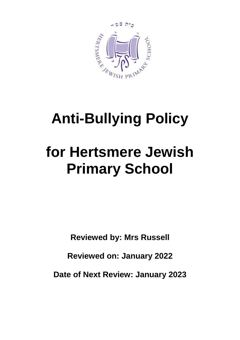

## **Anti-Bullying Policy**

# **for Hertsmere Jewish Primary School**

**Reviewed by: Mrs Russell**

**Reviewed on: January 2022**

**Date of Next Review: January 2023**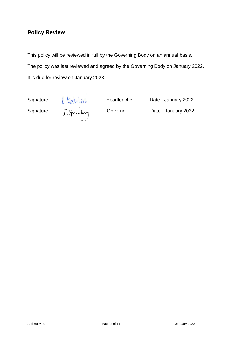## **Policy Review**

This policy will be reviewed in full by the Governing Body on an annual basis. The policy was last reviewed and agreed by the Governing Body on January 2022. It is due for review on January 2023.

Signature  $\ell$  Klak-Levi Headteacher Date January 2022<br>Signature J. Granday Governor Date January 2022 Signature T Grandes Governor Date January 2022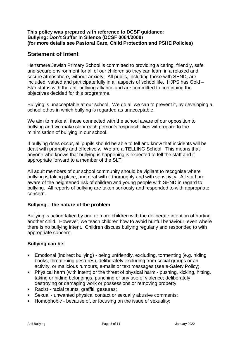#### **This policy was prepared with reference to DCSF guidance: Bullying: Don't Suffer in Silence (DCSF 0064/2000) (for more details see Pastoral Care, Child Protection and PSHE Policies)**

### **Statement of Intent**

Hertsmere Jewish Primary School is committed to providing a caring, friendly, safe and secure environment for all of our children so they can learn in a relaxed and secure atmosphere, without anxiety. All pupils, including those with SEND, are included, valued and participate fully in all aspects of school life. HJPS has Gold – Star status with the anti-bullying alliance and are committed to continuing the objectives decided for this programme.

Bullying is unacceptable at our school. We do all we can to prevent it, by developing a school ethos in which bullying is regarded as unacceptable.

We aim to make all those connected with the school aware of our opposition to bullying and we make clear each person's responsibilities with regard to the minimisation of bullying in our school.

If bullying does occur, all pupils should be able to tell and know that incidents will be dealt with promptly and effectively. We are a TELLING School. This means that anyone who knows that bullying is happening is expected to tell the staff and if appropriate forward to a member of the SLT.

All adult members of our school community should be vigilant to recognise where bullying is taking place, and deal with it thoroughly and with sensitivity. All staff are aware of the heightened risk of children and young people with SEND in regard to bullying. All reports of bullying are taken seriously and responded to with appropriate concern.

#### **Bullying – the nature of the problem**

Bullying is action taken by one or more children with the deliberate intention of hurting another child. However, we teach children how to avoid hurtful behaviour, even where there is no bullying intent. Children discuss bullying regularly and responded to with appropriate concern.

#### **Bullying can be:**

- Emotional (indirect bullying) being unfriendly, excluding, tormenting (e.g. hiding books, threatening gestures), deliberately excluding from social groups or an activity, or malicious rumours, e-mails or text messages (see e-Safety Policy).
- Physical harm (with intent) or the threat of physical harm pushing, kicking, hitting, taking or hiding belongings, punching or any use of violence; deliberately destroying or damaging work or possessions or removing property;
- Racist racial taunts, graffiti, gestures;
- Sexual unwanted physical contact or sexually abusive comments;
- Homophobic because of, or focusing on the issue of sexuality;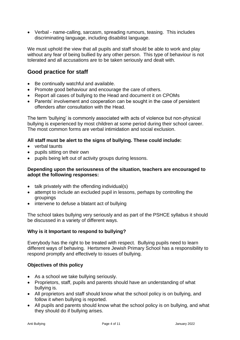• Verbal - name-calling, sarcasm, spreading rumours, teasing. This includes discriminating language, including disabilist language.

We must uphold the view that all pupils and staff should be able to work and play without any fear of being bullied by any other person. This type of behaviour is not tolerated and all accusations are to be taken seriously and dealt with.

## **Good practice for staff**

- Be continually watchful and available.
- Promote good behaviour and encourage the care of others.
- Report all cases of bullying to the Head and document it on CPOMs
- Parents' involvement and cooperation can be sought in the case of persistent offenders after consultation with the Head.

The term 'bullying' is commonly associated with acts of violence but non-physical bullying is experienced by most children at some period during their school career. The most common forms are verbal intimidation and social exclusion.

#### **All staff must be alert to the signs of bullying. These could include:**

- verbal taunts
- pupils sitting on their own
- pupils being left out of activity groups during lessons.

#### **Depending upon the seriousness of the situation, teachers are encouraged to adopt the following responses:**

- talk privately with the offending individual(s)
- attempt to include an excluded pupil in lessons, perhaps by controlling the groupings
- intervene to defuse a blatant act of bullying

The school takes bullying very seriously and as part of the PSHCE syllabus it should be discussed in a variety of different ways.

#### **Why is it Important to respond to bullying?**

Everybody has the right to be treated with respect. Bullying pupils need to learn different ways of behaving. Hertsmere Jewish Primary School has a responsibility to respond promptly and effectively to issues of bullying.

#### **Objectives of this policy**

- As a school we take bullying seriously.
- Proprietors, staff, pupils and parents should have an understanding of what bullying is.
- All proprietors and staff should know what the school policy is on bullying, and follow it when bullying is reported.
- All pupils and parents should know what the school policy is on bullying, and what they should do if bullying arises.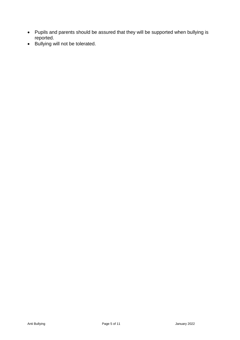- Pupils and parents should be assured that they will be supported when bullying is reported.
- Bullying will not be tolerated.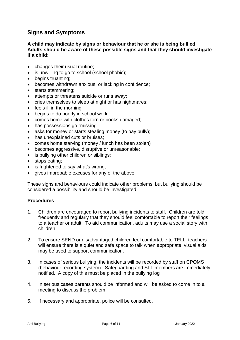## **Signs and Symptoms**

#### **A child may indicate by signs or behaviour that he or she is being bullied. Adults should be aware of these possible signs and that they should investigate if a child:**

- changes their usual routine;
- is unwilling to go to school (school phobic);
- begins truanting;
- becomes withdrawn anxious, or lacking in confidence;
- starts stammering;
- attempts or threatens suicide or runs away;
- cries themselves to sleep at night or has nightmares;
- feels ill in the morning;
- begins to do poorly in school work;
- comes home with clothes torn or books damaged;
- has possessions go "missing";
- asks for money or starts stealing money (to pay bully);
- has unexplained cuts or bruises;
- comes home starving (money / lunch has been stolen)
- becomes aggressive, disruptive or unreasonable;
- is bullying other children or siblings;
- stops eating;
- is frightened to say what's wrong;
- gives improbable excuses for any of the above.

These signs and behaviours could indicate other problems, but bullying should be considered a possibility and should be investigated.

#### **Procedures**

- 1. Children are encouraged to report bullying incidents to staff. Children are told frequently and regularly that they should feel comfortable to report their feelings to a teacher or adult. To aid communication, adults may use a social story with children.
- 2. To ensure SEND or disadvantaged children feel comfortable to TELL, teachers will ensure there is a quiet and safe space to talk when appropriate, visual aids may be used to support communication.
- 3. In cases of serious bullying, the incidents will be recorded by staff on CPOMS (behaviour recording system). Safeguarding and SLT members are immediately notified. A copy of this must be placed in the bullying log .
- 4. In serious cases parents should be informed and will be asked to come in to a meeting to discuss the problem.
- 5. If necessary and appropriate, police will be consulted.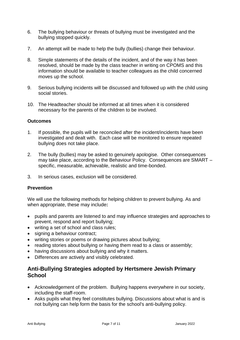- 6. The bullying behaviour or threats of bullying must be investigated and the bullying stopped quickly.
- 7. An attempt will be made to help the bully (bullies) change their behaviour.
- 8. Simple statements of the details of the incident, and of the way it has been resolved, should be made by the class teacher in writing on CPOMS and this information should be available to teacher colleagues as the child concerned moves up the school.
- 9. Serious bullying incidents will be discussed and followed up with the child using social stories.
- 10. The Headteacher should be informed at all times when it is considered necessary for the parents of the children to be involved.

#### **Outcomes**

- 1. If possible, the pupils will be reconciled after the incident/incidents have been investigated and dealt with. Each case will be monitored to ensure repeated bullying does not take place.
- 2. The bully (bullies) may be asked to genuinely apologise. Other consequences may take place, according to the Behaviour Policy. Consequences are SMART – specific, measurable, achievable, realistic and time-bonded.
- 3. In serious cases, exclusion will be considered.

#### **Prevention**

We will use the following methods for helping children to prevent bullying. As and when appropriate, these may include**:**

- pupils and parents are listened to and may influence strategies and approaches to prevent, respond and report bullying;
- writing a set of school and class rules;
- signing a behaviour contract;
- writing stories or poems or drawing pictures about bullying;
- reading stories about bullying or having them read to a class or assembly;
- having discussions about bullying and why it matters.
- Differences are actively and visibly celebrated.

## **Anti-Bullying Strategies adopted by Hertsmere Jewish Primary School**

- Acknowledgement of the problem. Bullying happens everywhere in our society, including the staff-room.
- Asks pupils what they feel constitutes bullying. Discussions about what is and is not bullying can help form the basis for the school's anti-bullying policy.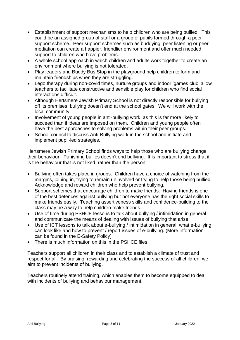- Establishment of support mechanisms to help children who are being bullied. This could be an assigned group of staff or a group of pupils formed through a peer support scheme. Peer support schemes such as buddying, peer listening or peer mediation can create a happier, friendlier environment and offer much needed support to children who have problems.
- A whole school approach in which children and adults work together to create an environment where bullying is not tolerated.
- Play leaders and Buddy Bus Stop in the playground help children to form and maintain friendships when they are struggling.
- Lego therapy during non-covid times, nurture groups and indoor 'games club' allow teachers to facilitate constructive and sensible play for children who find social interactions difficult.
- Although Hertsmere Jewish Primary School is not directly responsible for bullying off its premises, bullying doesn't end at the school gates. We will work with the local community.
- Involvement of young people in anti-bullying work, as this is far more likely to succeed than if ideas are imposed on them. Children and young people often have the best approaches to solving problems within their peer groups.
- School council to discuss Anti-Bullying work in the school and initiate and implement pupil-led strategies.

Hertsmere Jewish Primary School finds ways to help those who are bullying change their behaviour. Punishing bullies doesn't end bullying. It is important to stress that it is the behaviour that is not liked, rather than the person.

- Bullying often takes place in groups. Children have a choice of watching from the margins, joining in, trying to remain uninvolved or trying to help those being bullied. Acknowledge and reward children who help prevent bullying.
- Support schemes that encourage children to make friends. Having friends is one of the best defences against bullying but not everyone has the right social skills to make friends easily. Teaching assertiveness skills and confidence-building to the class may be a way to help children make friends.
- Use of time during PSHCE lessons to talk about bullying / intimidation in general and communicate the means of dealing with issues of bullying that arise.
- Use of ICT lessons to talk about e-bullying / intimidation in general, what e-bullying can look like and how to prevent / report issues of e-bullying. (More information can be found in the E-Safety Policy)
- There is much information on this in the PSHCE files.

Teachers support all children in their class and to establish a climate of trust and respect for all. By praising, rewarding and celebrating the success of all children, we aim to prevent incidents of bullying.

Teachers routinely attend training, which enables them to become equipped to deal with incidents of bullying and behaviour management.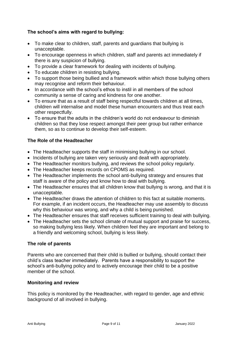#### **The school's aims with regard to bullying:**

- To make clear to children, staff, parents and guardians that bullying is unacceptable.
- To encourage openness in which children, staff and parents act immediately if there is any suspicion of bullying.
- To provide a clear framework for dealing with incidents of bullying.
- To educate children in resisting bullying.
- To support those being bullied and a framework within which those bullying others may recognise and reform their behaviour.
- In accordance with the school's ethos to instil in all members of the school community a sense of caring and kindness for one another.
- To ensure that as a result of staff being respectful towards children at all times, children will internalise and model these human encounters and thus treat each other respectfully.
- To ensure that the adults in the children's world do not endeavour to diminish children so that they lose respect amongst their peer group but rather enhance them, so as to continue to develop their self-esteem.

#### **The Role of the Headteacher**

- The Headteacher supports the staff in minimising bullying in our school.
- Incidents of bullying are taken very seriously and dealt with appropriately.
- The Headteacher monitors bullying, and reviews the school policy regularly.
- The Headteacher keeps records on CPOMS as required.
- The Headteacher implements the school anti-bullying strategy and ensures that staff is aware of the policy and know how to deal with bullying.
- The Headteacher ensures that all children know that bullying is wrong, and that it is unacceptable.
- The Headteacher draws the attention of children to this fact at suitable moments. For example, if an incident occurs, the Headteacher may use assembly to discuss why this behaviour was wrong, and why a child is being punished.
- The Headteacher ensures that staff receives sufficient training to deal with bullying.
- The Headteacher sets the school climate of mutual support and praise for success, so making bullying less likely. When children feel they are important and belong to a friendly and welcoming school, bullying is less likely.

#### **The role of parents**

Parents who are concerned that their child is bullied or bullying, should contact their child's class teacher immediately. Parents have a responsibility to support the school's anti-bullying policy and to actively encourage their child to be a positive member of the school.

#### **Monitoring and review**

This policy is monitored by the Headteacher, with regard to gender, age and ethnic background of all involved in bullying.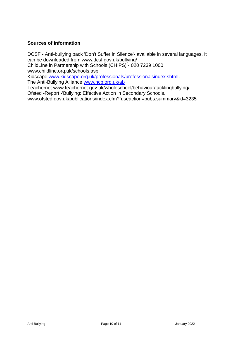#### **Sources of Information**

DCSF - Anti-bullying pack 'Don't Suffer in Silence'- available in several languages. It can be downloaded from www.dcsf.gov.uk/bullyinq/ ChildLine in Partnership with Schools (CHIPS) - 020 7239 1000 www.childline.orq.uk/schools.asp Kidscape [www.kidscape.orq.uk/professionals/professionalsindex.shtml.](http://www.kidscape.orq.uk/professionals/professionalsindex.shtml)

The Anti-Bullying Alliance [www.ncb.orq.uk/ab](http://www.ncb.orq.uk/ab)

Teachernet www.teachernet.gov.uk/wholeschool/behaviour/tacklinqbullyinq/ Ofsted -Report -'Bullying: Effective Action in Secondary Schools.

www.ofsted.qov.uk/publications/index.cfm?fuseaction=pubs.summary&id=3235